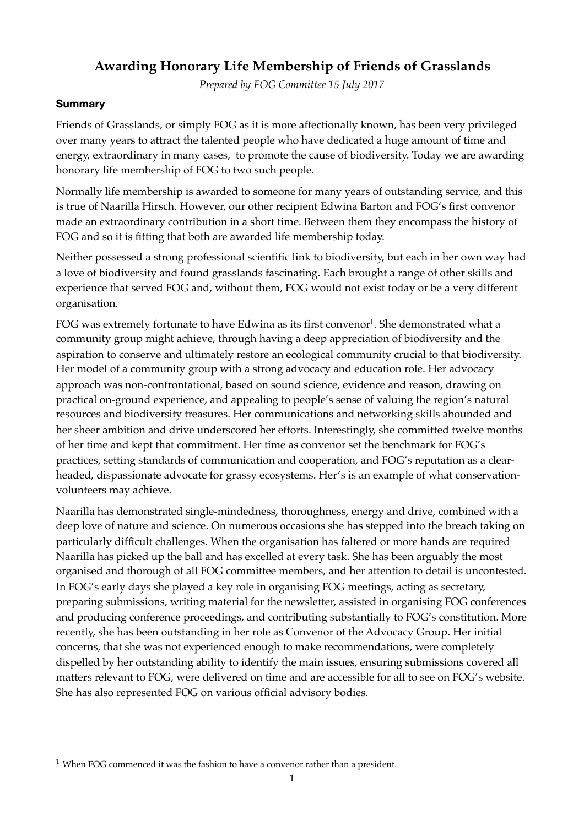# **Awarding Honorary Life Membership of Friends of Grasslands**

<span id="page-0-1"></span>*Prepared by FOG Committee 15 July 2017*

### **Summary**

Friends of Grasslands, or simply FOG as it is more affectionally known, has been very privileged over many years to attract the talented people who have dedicated a huge amount of time and energy, extraordinary in many cases, to promote the cause of biodiversity. Today we are awarding honorary life membership of FOG to two such people.

Normally life membership is awarded to someone for many years of outstanding service, and this is true of Naarilla Hirsch. However, our other recipient Edwina Barton and FOG's first convenor made an extraordinary contribution in a short time. Between them they encompass the history of FOG and so it is fitting that both are awarded life membership today.

Neither possessed a strong professional scientific link to biodiversity, but each in her own way had a love of biodiversity and found grasslands fascinating. Each brought a range of other skills and experience that served FOG and, without them, FOG would not exist today or be a very different organisation.

FOG was extremely fortunate to have Edwina as its first convenor<sup>1</sup>[.](#page-0-0) She demonstrated what a community group might achieve, through having a deep appreciation of biodiversity and the aspiration to conserve and ultimately restore an ecological community crucial to that biodiversity. Her model of a community group with a strong advocacy and education role. Her advocacy approach was non-confrontational, based on sound science, evidence and reason, drawing on practical on-ground experience, and appealing to people's sense of valuing the region's natural resources and biodiversity treasures. Her communications and networking skills abounded and her sheer ambition and drive underscored her efforts. Interestingly, she committed twelve months of her time and kept that commitment. Her time as convenor set the benchmark for FOG's practices, setting standards of communication and cooperation, and FOG's reputation as a clearheaded, dispassionate advocate for grassy ecosystems. Her's is an example of what conservationvolunteers may achieve.

Naarilla has demonstrated single-mindedness, thoroughness, energy and drive, combined with a deep love of nature and science. On numerous occasions she has stepped into the breach taking on particularly difficult challenges. When the organisation has faltered or more hands are required Naarilla has picked up the ball and has excelled at every task. She has been arguably the most organised and thorough of all FOG committee members, and her attention to detail is uncontested. In FOG's early days she played a key role in organising FOG meetings, acting as secretary, preparing submissions, writing material for the newsletter, assisted in organising FOG conferences and producing conference proceedings, and contributing substantially to FOG's constitution. More recently, she has been outstanding in her role as Convenor of the Advocacy Group. Her initial concerns, that she was not experienced enough to make recommendations, were completely dispelled by her outstanding ability to identify the main issues, ensuring submissions covered all matters relevant to FOG, were delivered on time and are accessible for all to see on FOG's website. She has also represented FOG on various official advisory bodies.

<span id="page-0-0"></span> $1$  When FOG commenced it was the fashion to have a convenor rather than a president.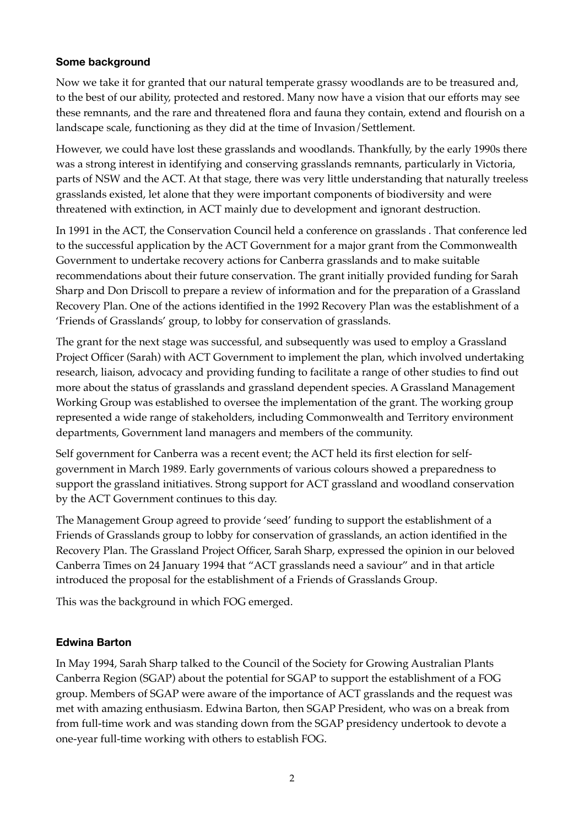### **Some background**

Now we take it for granted that our natural temperate grassy woodlands are to be treasured and, to the best of our ability, protected and restored. Many now have a vision that our efforts may see these remnants, and the rare and threatened flora and fauna they contain, extend and flourish on a landscape scale, functioning as they did at the time of Invasion/Settlement.

However, we could have lost these grasslands and woodlands. Thankfully, by the early 1990s there was a strong interest in identifying and conserving grasslands remnants, particularly in Victoria, parts of NSW and the ACT. At that stage, there was very little understanding that naturally treeless grasslands existed, let alone that they were important components of biodiversity and were threatened with extinction, in ACT mainly due to development and ignorant destruction.

In 1991 in the ACT, the Conservation Council held a conference on grasslands . That conference led to the successful application by the ACT Government for a major grant from the Commonwealth Government to undertake recovery actions for Canberra grasslands and to make suitable recommendations about their future conservation. The grant initially provided funding for Sarah Sharp and Don Driscoll to prepare a review of information and for the preparation of a Grassland Recovery Plan. One of the actions identified in the 1992 Recovery Plan was the establishment of a 'Friends of Grasslands' group, to lobby for conservation of grasslands.

The grant for the next stage was successful, and subsequently was used to employ a Grassland Project Officer (Sarah) with ACT Government to implement the plan, which involved undertaking research, liaison, advocacy and providing funding to facilitate a range of other studies to find out more about the status of grasslands and grassland dependent species. A Grassland Management Working Group was established to oversee the implementation of the grant. The working group represented a wide range of stakeholders, including Commonwealth and Territory environment departments, Government land managers and members of the community.

Self government for Canberra was a recent event; the ACT held its first election for selfgovernment in March 1989. Early governments of various colours showed a preparedness to support the grassland initiatives. Strong support for ACT grassland and woodland conservation by the ACT Government continues to this day.

The Management Group agreed to provide 'seed' funding to support the establishment of a Friends of Grasslands group to lobby for conservation of grasslands, an action identified in the Recovery Plan. The Grassland Project Officer, Sarah Sharp, expressed the opinion in our beloved Canberra Times on 24 January 1994 that "ACT grasslands need a saviour" and in that article introduced the proposal for the establishment of a Friends of Grasslands Group.

This was the background in which FOG emerged.

#### **Edwina Barton**

In May 1994, Sarah Sharp talked to the Council of the Society for Growing Australian Plants Canberra Region (SGAP) about the potential for SGAP to support the establishment of a FOG group. Members of SGAP were aware of the importance of ACT grasslands and the request was met with amazing enthusiasm. Edwina Barton, then SGAP President, who was on a break from from full-time work and was standing down from the SGAP presidency undertook to devote a one-year full-time working with others to establish FOG.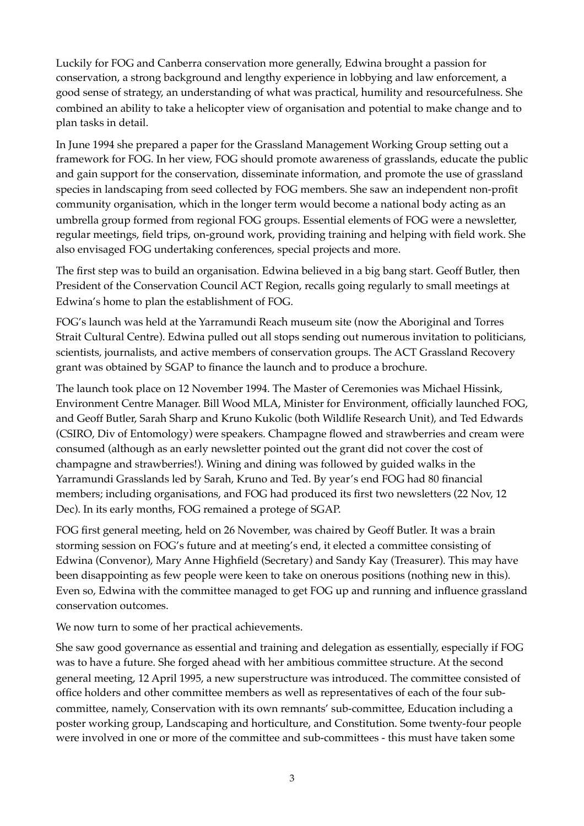Luckily for FOG and Canberra conservation more generally, Edwina brought a passion for conservation, a strong background and lengthy experience in lobbying and law enforcement, a good sense of strategy, an understanding of what was practical, humility and resourcefulness. She combined an ability to take a helicopter view of organisation and potential to make change and to plan tasks in detail.

In June 1994 she prepared a paper for the Grassland Management Working Group setting out a framework for FOG. In her view, FOG should promote awareness of grasslands, educate the public and gain support for the conservation, disseminate information, and promote the use of grassland species in landscaping from seed collected by FOG members. She saw an independent non-profit community organisation, which in the longer term would become a national body acting as an umbrella group formed from regional FOG groups. Essential elements of FOG were a newsletter, regular meetings, field trips, on-ground work, providing training and helping with field work. She also envisaged FOG undertaking conferences, special projects and more.

The first step was to build an organisation. Edwina believed in a big bang start. Geoff Butler, then President of the Conservation Council ACT Region, recalls going regularly to small meetings at Edwina's home to plan the establishment of FOG.

FOG's launch was held at the Yarramundi Reach museum site (now the Aboriginal and Torres Strait Cultural Centre). Edwina pulled out all stops sending out numerous invitation to politicians, scientists, journalists, and active members of conservation groups. The ACT Grassland Recovery grant was obtained by SGAP to finance the launch and to produce a brochure.

The launch took place on 12 November 1994. The Master of Ceremonies was Michael Hissink, Environment Centre Manager. Bill Wood MLA, Minister for Environment, officially launched FOG, and Geoff Butler, Sarah Sharp and Kruno Kukolic (both Wildlife Research Unit), and Ted Edwards (CSIRO, Div of Entomology) were speakers. Champagne flowed and strawberries and cream were consumed (although as an early newsletter pointed out the grant did not cover the cost of champagne and strawberries!). Wining and dining was followed by guided walks in the Yarramundi Grasslands led by Sarah, Kruno and Ted. By year's end FOG had 80 financial members; including organisations, and FOG had produced its first two newsletters (22 Nov, 12 Dec). In its early months, FOG remained a protege of SGAP.

FOG first general meeting, held on 26 November, was chaired by Geoff Butler. It was a brain storming session on FOG's future and at meeting's end, it elected a committee consisting of Edwina (Convenor), Mary Anne Highfield (Secretary) and Sandy Kay (Treasurer). This may have been disappointing as few people were keen to take on onerous positions (nothing new in this). Even so, Edwina with the committee managed to get FOG up and running and influence grassland conservation outcomes.

We now turn to some of her practical achievements.

She saw good governance as essential and training and delegation as essentially, especially if FOG was to have a future. She forged ahead with her ambitious committee structure. At the second general meeting, 12 April 1995, a new superstructure was introduced. The committee consisted of office holders and other committee members as well as representatives of each of the four subcommittee, namely, Conservation with its own remnants' sub-committee, Education including a poster working group, Landscaping and horticulture, and Constitution. Some twenty-four people were involved in one or more of the committee and sub-committees - this must have taken some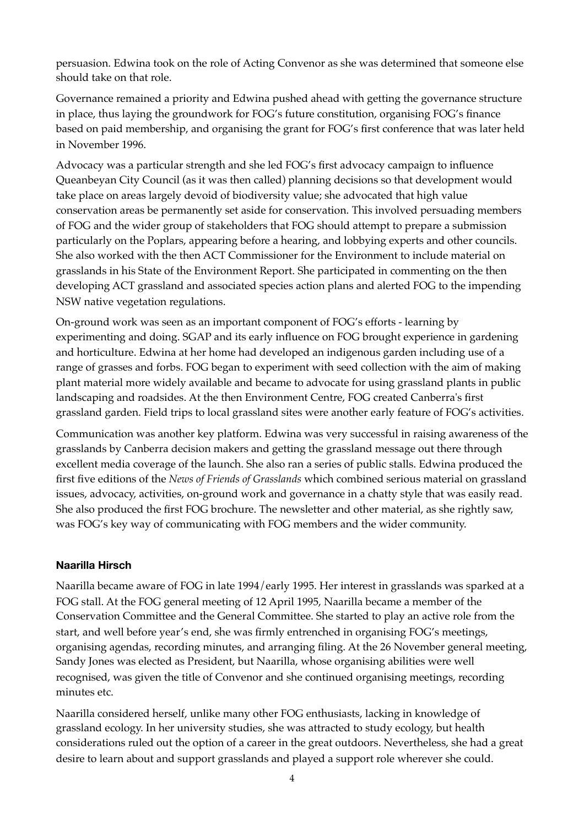persuasion. Edwina took on the role of Acting Convenor as she was determined that someone else should take on that role.

Governance remained a priority and Edwina pushed ahead with getting the governance structure in place, thus laying the groundwork for FOG's future constitution, organising FOG's finance based on paid membership, and organising the grant for FOG's first conference that was later held in November 1996.

Advocacy was a particular strength and she led FOG's first advocacy campaign to influence Queanbeyan City Council (as it was then called) planning decisions so that development would take place on areas largely devoid of biodiversity value; she advocated that high value conservation areas be permanently set aside for conservation. This involved persuading members of FOG and the wider group of stakeholders that FOG should attempt to prepare a submission particularly on the Poplars, appearing before a hearing, and lobbying experts and other councils. She also worked with the then ACT Commissioner for the Environment to include material on grasslands in his State of the Environment Report. She participated in commenting on the then developing ACT grassland and associated species action plans and alerted FOG to the impending NSW native vegetation regulations.

On-ground work was seen as an important component of FOG's efforts - learning by experimenting and doing. SGAP and its early influence on FOG brought experience in gardening and horticulture. Edwina at her home had developed an indigenous garden including use of a range of grasses and forbs. FOG began to experiment with seed collection with the aim of making plant material more widely available and became to advocate for using grassland plants in public landscaping and roadsides. At the then Environment Centre, FOG created Canberra's first grassland garden. Field trips to local grassland sites were another early feature of FOG's activities.

Communication was another key platform. Edwina was very successful in raising awareness of the grasslands by Canberra decision makers and getting the grassland message out there through excellent media coverage of the launch. She also ran a series of public stalls. Edwina produced the first five editions of the *News of Friends of Grasslands* which combined serious material on grassland issues, advocacy, activities, on-ground work and governance in a chatty style that was easily read. She also produced the first FOG brochure. The newsletter and other material, as she rightly saw, was FOG's key way of communicating with FOG members and the wider community.

## **Naarilla Hirsch**

Naarilla became aware of FOG in late 1994/early 1995. Her interest in grasslands was sparked at a FOG stall. At the FOG general meeting of 12 April 1995, Naarilla became a member of the Conservation Committee and the General Committee. She started to play an active role from the start, and well before year's end, she was firmly entrenched in organising FOG's meetings, organising agendas, recording minutes, and arranging filing. At the 26 November general meeting, Sandy Jones was elected as President, but Naarilla, whose organising abilities were well recognised, was given the title of Convenor and she continued organising meetings, recording minutes etc.

Naarilla considered herself, unlike many other FOG enthusiasts, lacking in knowledge of grassland ecology. In her university studies, she was attracted to study ecology, but health considerations ruled out the option of a career in the great outdoors. Nevertheless, she had a great desire to learn about and support grasslands and played a support role wherever she could.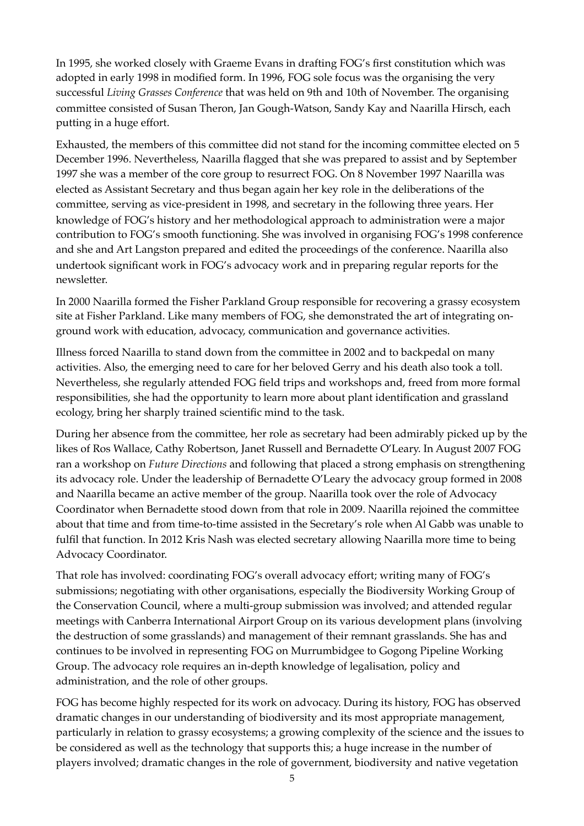In 1995, she worked closely with Graeme Evans in drafting FOG's first constitution which was adopted in early 1998 in modified form. In 1996, FOG sole focus was the organising the very successful *Living Grasses Conference* that was held on 9th and 10th of November. The organising committee consisted of Susan Theron, Jan Gough-Watson, Sandy Kay and Naarilla Hirsch, each putting in a huge effort.

Exhausted, the members of this committee did not stand for the incoming committee elected on 5 December 1996. Nevertheless, Naarilla flagged that she was prepared to assist and by September 1997 she was a member of the core group to resurrect FOG. On 8 November 1997 Naarilla was elected as Assistant Secretary and thus began again her key role in the deliberations of the committee, serving as vice-president in 1998, and secretary in the following three years. Her knowledge of FOG's history and her methodological approach to administration were a major contribution to FOG's smooth functioning. She was involved in organising FOG's 1998 conference and she and Art Langston prepared and edited the proceedings of the conference. Naarilla also undertook significant work in FOG's advocacy work and in preparing regular reports for the newsletter.

In 2000 Naarilla formed the Fisher Parkland Group responsible for recovering a grassy ecosystem site at Fisher Parkland. Like many members of FOG, she demonstrated the art of integrating onground work with education, advocacy, communication and governance activities.

Illness forced Naarilla to stand down from the committee in 2002 and to backpedal on many activities. Also, the emerging need to care for her beloved Gerry and his death also took a toll. Nevertheless, she regularly attended FOG field trips and workshops and, freed from more formal responsibilities, she had the opportunity to learn more about plant identification and grassland ecology, bring her sharply trained scientific mind to the task.

During her absence from the committee, her role as secretary had been admirably picked up by the likes of Ros Wallace, Cathy Robertson, Janet Russell and Bernadette O'Leary. In August 2007 FOG ran a workshop on *Future Directions* and following that placed a strong emphasis on strengthening its advocacy role. Under the leadership of Bernadette O'Leary the advocacy group formed in 2008 and Naarilla became an active member of the group. Naarilla took over the role of Advocacy Coordinator when Bernadette stood down from that role in 2009. Naarilla rejoined the committee about that time and from time-to-time assisted in the Secretary's role when Al Gabb was unable to fulfil that function. In 2012 Kris Nash was elected secretary allowing Naarilla more time to being Advocacy Coordinator.

That role has involved: coordinating FOG's overall advocacy effort; writing many of FOG's submissions; negotiating with other organisations, especially the Biodiversity Working Group of the Conservation Council, where a multi-group submission was involved; and attended regular meetings with Canberra International Airport Group on its various development plans (involving the destruction of some grasslands) and management of their remnant grasslands. She has and continues to be involved in representing FOG on Murrumbidgee to Gogong Pipeline Working Group. The advocacy role requires an in-depth knowledge of legalisation, policy and administration, and the role of other groups.

FOG has become highly respected for its work on advocacy. During its history, FOG has observed dramatic changes in our understanding of biodiversity and its most appropriate management, particularly in relation to grassy ecosystems; a growing complexity of the science and the issues to be considered as well as the technology that supports this; a huge increase in the number of players involved; dramatic changes in the role of government, biodiversity and native vegetation